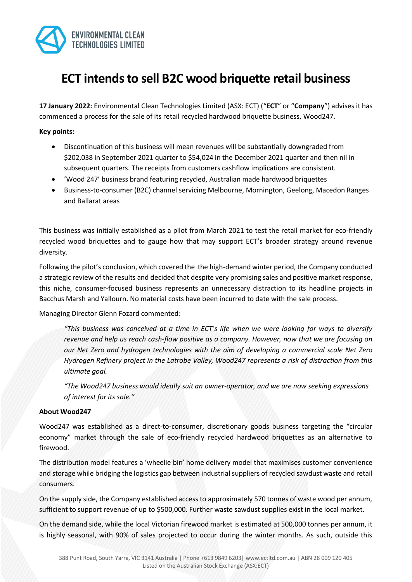

# **ECT intends to sell B2C wood briquette retail business**

**17 January 2022:** Environmental Clean Technologies Limited (ASX: ECT) ("**ECT**" or "**Company**") advises it has commenced a process for the sale of its retail recycled hardwood briquette business, Wood247.

#### **Key points:**

- Discontinuation of this business will mean revenues will be substantially downgraded from \$202,038 in September 2021 quarter to \$54,024 in the December 2021 quarter and then nil in subsequent quarters. The receipts from customers cashflow implications are consistent.
- 'Wood 247' business brand featuring recycled, Australian made hardwood briquettes
- Business-to-consumer (B2C) channel servicing Melbourne, Mornington, Geelong, Macedon Ranges and Ballarat areas

This business was initially established as a pilot from March 2021 to test the retail market for eco-friendly recycled wood briquettes and to gauge how that may support ECT's broader strategy around revenue diversity.

Following the pilot's conclusion, which covered the the high-demand winter period, the Company conducted a strategic review of the results and decided that despite very promising sales and positive market response, this niche, consumer-focused business represents an unnecessary distraction to its headline projects in Bacchus Marsh and Yallourn. No material costs have been incurred to date with the sale process.

Managing Director Glenn Fozard commented:

*"This business was conceived at a time in ECT's life when we were looking for ways to diversify revenue and help us reach cash-flow positive as a company. However, now that we are focusing on our Net Zero and hydrogen technologies with the aim of developing a commercial scale Net Zero Hydrogen Refinery project in the Latrobe Valley, Wood247 represents a risk of distraction from this ultimate goal.*

*"The Wood247 business would ideally suit an owner-operator, and we are now seeking expressions of interest for its sale."*

#### **About Wood247**

Wood247 was established as a direct-to-consumer, discretionary goods business targeting the "circular economy" market through the sale of eco-friendly recycled hardwood briquettes as an alternative to firewood.

The distribution model features a 'wheelie bin' home delivery model that maximises customer convenience and storage while bridging the logistics gap between industrial suppliers of recycled sawdust waste and retail consumers.

On the supply side, the Company established access to approximately 570 tonnes of waste wood per annum, sufficient to support revenue of up to \$500,000. Further waste sawdust supplies exist in the local market.

On the demand side, while the local Victorian firewood market is estimated at 500,000 tonnes per annum, it is highly seasonal, with 90% of sales projected to occur during the winter months. As such, outside this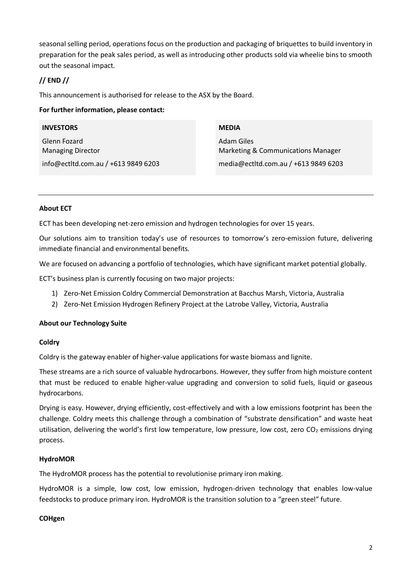seasonal selling period, operations focus on the production and packaging of briquettes to build inventory in preparation for the peak sales period, as well as introducing other products sold via wheelie bins to smooth out the seasonal impact.

## **// END //**

This announcement is authorised for release to the ASX by the Board.

## **For further information, please contact:**

| <b>INVESTORS</b>                         | <b>MEDIA</b>                                                       |
|------------------------------------------|--------------------------------------------------------------------|
| Glenn Fozard<br><b>Managing Director</b> | <b>Adam Giles</b><br><b>Marketing &amp; Communications Manager</b> |
| info@ectltd.com.au / +613 9849 6203      | media@ectltd.com.au / +613 9849 6203                               |

## **About ECT**

ECT has been developing net-zero emission and hydrogen technologies for over 15 years.

Our solutions aim to transition today's use of resources to tomorrow's zero-emission future, delivering immediate financial and environmental benefits.

We are focused on advancing a portfolio of technologies, which have significant market potential globally.

ECT's business plan is currently focusing on two major projects:

- 1) Zero-Net Emission Coldry Commercial Demonstration at Bacchus Marsh, Victoria, Australia
- 2) Zero-Net Emission Hydrogen Refinery Project at the Latrobe Valley, Victoria, Australia

## **About our Technology Suite**

#### **Coldry**

Coldry is the gateway enabler of higher-value applications for waste biomass and lignite.

These streams are a rich source of valuable hydrocarbons. However, they suffer from high moisture content that must be reduced to enable higher-value upgrading and conversion to solid fuels, liquid or gaseous hydrocarbons.

Drying is easy. However, drying efficiently, cost-effectively and with a low emissions footprint has been the challenge. Coldry meets this challenge through a combination of "substrate densification" and waste heat utilisation, delivering the world's first low temperature, low pressure, low cost, zero CO<sub>2</sub> emissions drying process.

#### **HydroMOR**

The HydroMOR process has the potential to revolutionise primary iron making.

HydroMOR is a simple, low cost, low emission, hydrogen-driven technology that enables low-value feedstocks to produce primary iron. HydroMOR is the transition solution to a "green steel" future.

#### **COHgen**